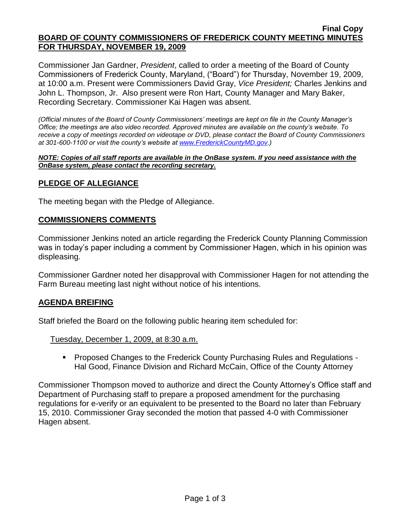#### **Final Copy BOARD OF COUNTY COMMISSIONERS OF FREDERICK COUNTY MEETING MINUTES FOR THURSDAY, NOVEMBER 19, 2009**

Commissioner Jan Gardner, *President*, called to order a meeting of the Board of County Commissioners of Frederick County, Maryland, ("Board") for Thursday, November 19, 2009, at 10:00 a.m. Present were Commissioners David Gray, *Vice President;* Charles Jenkins and John L. Thompson, Jr. Also present were Ron Hart, County Manager and Mary Baker, Recording Secretary. Commissioner Kai Hagen was absent.

*(Official minutes of the Board of County Commissioners' meetings are kept on file in the County Manager's Office; the meetings are also video recorded. Approved minutes are available on the county's website. To receive a copy of meetings recorded on videotape or DVD, please contact the Board of County Commissioners at 301-600-1100 or visit the county's website at [www.FrederickCountyMD.gov.](http://www.frederickcountymd.gov/))*

*NOTE: Copies of all staff reports are available in the OnBase system. If you need assistance with the OnBase system, please contact the recording secretary.*

# **PLEDGE OF ALLEGIANCE**

The meeting began with the Pledge of Allegiance.

#### **COMMISSIONERS COMMENTS**

Commissioner Jenkins noted an article regarding the Frederick County Planning Commission was in today's paper including a comment by Commissioner Hagen, which in his opinion was displeasing.

Commissioner Gardner noted her disapproval with Commissioner Hagen for not attending the Farm Bureau meeting last night without notice of his intentions.

#### **AGENDA BREIFING**

Staff briefed the Board on the following public hearing item scheduled for:

Tuesday, December 1, 2009, at 8:30 a.m.

 Proposed Changes to the Frederick County Purchasing Rules and Regulations - Hal Good, Finance Division and Richard McCain, Office of the County Attorney

Commissioner Thompson moved to authorize and direct the County Attorney's Office staff and Department of Purchasing staff to prepare a proposed amendment for the purchasing regulations for e-verify or an equivalent to be presented to the Board no later than February 15, 2010. Commissioner Gray seconded the motion that passed 4-0 with Commissioner Hagen absent.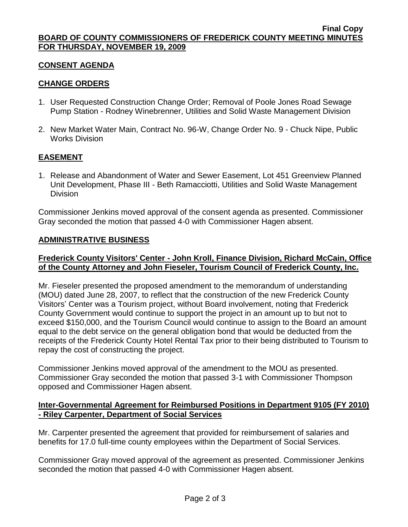# **CONSENT AGENDA**

# **CHANGE ORDERS**

- 1. User Requested Construction Change Order; Removal of Poole Jones Road Sewage Pump Station - Rodney Winebrenner, Utilities and Solid Waste Management Division
- 2. New Market Water Main, Contract No. 96-W, Change Order No. 9 Chuck Nipe, Public Works Division

# **EASEMENT**

1. Release and Abandonment of Water and Sewer Easement, Lot 451 Greenview Planned Unit Development, Phase III - Beth Ramacciotti, Utilities and Solid Waste Management Division

Commissioner Jenkins moved approval of the consent agenda as presented. Commissioner Gray seconded the motion that passed 4-0 with Commissioner Hagen absent.

# **ADMINISTRATIVE BUSINESS**

# **Frederick County Visitors' Center - John Kroll, Finance Division, Richard McCain, Office of the County Attorney and John Fieseler, Tourism Council of Frederick County, Inc.**

Mr. Fieseler presented the proposed amendment to the memorandum of understanding (MOU) dated June 28, 2007, to reflect that the construction of the new Frederick County Visitors' Center was a Tourism project, without Board involvement, noting that Frederick County Government would continue to support the project in an amount up to but not to exceed \$150,000, and the Tourism Council would continue to assign to the Board an amount equal to the debt service on the general obligation bond that would be deducted from the receipts of the Frederick County Hotel Rental Tax prior to their being distributed to Tourism to repay the cost of constructing the project.

Commissioner Jenkins moved approval of the amendment to the MOU as presented. Commissioner Gray seconded the motion that passed 3-1 with Commissioner Thompson opposed and Commissioner Hagen absent.

# **Inter-Governmental Agreement for Reimbursed Positions in Department 9105 (FY 2010) - Riley Carpenter, Department of Social Services**

Mr. Carpenter presented the agreement that provided for reimbursement of salaries and benefits for 17.0 full-time county employees within the Department of Social Services.

Commissioner Gray moved approval of the agreement as presented. Commissioner Jenkins seconded the motion that passed 4-0 with Commissioner Hagen absent.